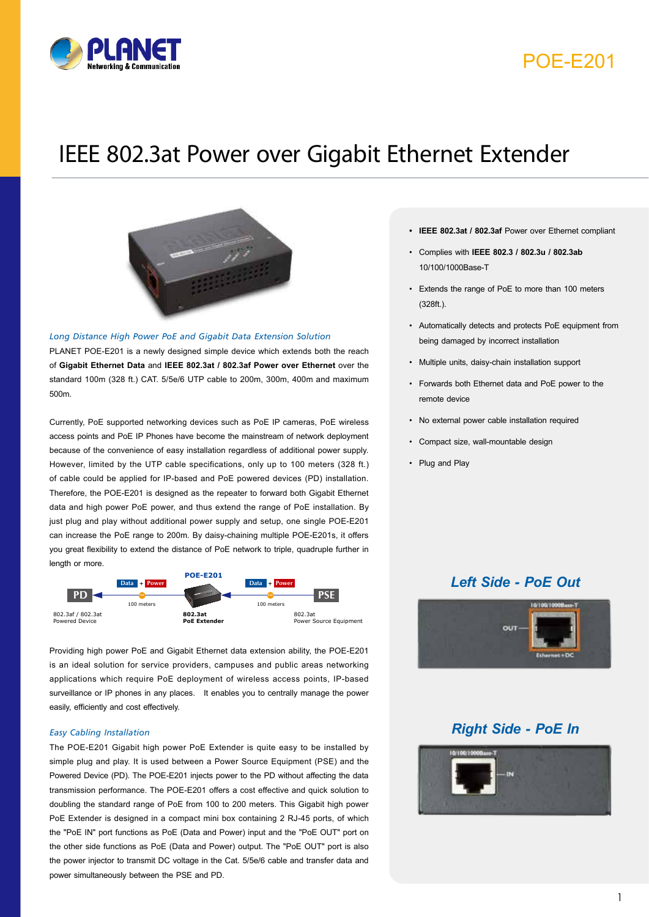

## POE-E201

# IEEE 802.3at Power over Gigabit Ethernet Extender



*Long Distance High Power PoE and Gigabit Data Extension Solution* 

PLANET POE-E201 is a newly designed simple device which extends both the reach of **Gigabit Ethernet Data** and **IEEE 802.3at / 802.3af Power over Ethernet** over the standard 100m (328 ft.) CAT. 5/5e/6 UTP cable to 200m, 300m, 400m and maximum 500m.

Currently, PoE supported networking devices such as PoE IP cameras, PoE wireless access points and PoE IP Phones have become the mainstream of network deployment because of the convenience of easy installation regardless of additional power supply. However, limited by the UTP cable specifications, only up to 100 meters (328 ft.) of cable could be applied for IP-based and PoE powered devices (PD) installation. Therefore, the POE-E201 is designed as the repeater to forward both Gigabit Ethernet data and high power PoE power, and thus extend the range of PoE installation. By just plug and play without additional power supply and setup, one single POE-E201 can increase the PoE range to 200m. By daisy-chaining multiple POE-E201s, it offers you great flexibility to extend the distance of PoE network to triple, quadruple further in length or more.



Providing high power PoE and Gigabit Ethernet data extension ability, the POE-E201 is an ideal solution for service providers, campuses and public areas networking applications which require PoE deployment of wireless access points, IP-based surveillance or IP phones in any places. It enables you to centrally manage the power easily, efficiently and cost effectively.

#### *Easy Cabling Installation*

are personaly step to a sheming a remain state in the power simultaneously between the PSE and PD. The POE-E201 Gigabit high power PoE Extender is quite easy to be installed by simple plug and play. It is used between a Power Source Equipment (PSE) and the Powered Device (PD). The POE-E201 injects power to the PD without affecting the data transmission performance. The POE-E201 offers a cost effective and quick solution to doubling the standard range of PoE from 100 to 200 meters. This Gigabit high power PoE Extender is designed in a compact mini box containing 2 RJ-45 ports, of which the "PoE IN" port functions as PoE (Data and Power) input and the "PoE OUT" port on the other side functions as PoE (Data and Power) output. The "PoE OUT" port is also the power injector to transmit DC voltage in the Cat. 5/5e/6 cable and transfer data and

- **• IEEE 802.3at / 802.3af** Power over Ethernet compliant
- Complies with **IEEE 802.3 / 802.3u / 802.3ab**  10/100/1000Base-T
- Extends the range of PoE to more than 100 meters (328ft.).
- Automatically detects and protects PoE equipment from being damaged by incorrect installation
- Multiple units, daisy-chain installation support
- Forwards both Ethernet data and PoE power to the remote device
- No external power cable installation required
- Compact size, wall-mountable design
- Plug and Play

### *Left Side - PoE Out*



### *Right Side - PoE In*

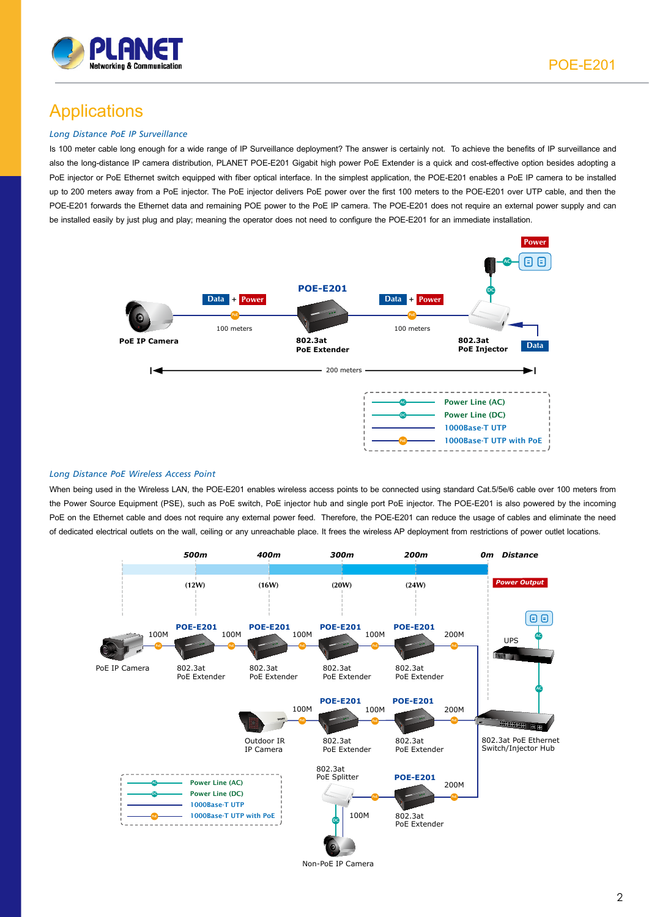

## Applications

#### *Long Distance PoE IP Surveillance*

Is 100 meter cable long enough for a wide range of IP Surveillance deployment? The answer is certainly not. To achieve the benefits of IP surveillance and also the long-distance IP camera distribution, PLANET POE-E201 Gigabit high power PoE Extender is a quick and cost-effective option besides adopting a PoE injector or PoE Ethernet switch equipped with fiber optical interface. In the simplest application, the POE-E201 enables a PoE IP camera to be installed up to 200 meters away from a PoE injector. The PoE injector delivers PoE power over the first 100 meters to the POE-E201 over UTP cable, and then the POE-E201 forwards the Ethernet data and remaining POE power to the PoE IP camera. The POE-E201 does not require an external power supply and can be installed easily by just plug and play; meaning the operator does not need to configure the POE-E201 for an immediate installation.



#### *Long Distance PoE Wireless Access Point*

When being used in the Wireless LAN, the POE-E201 enables wireless access points to be connected using standard Cat.5/5e/6 cable over 100 meters from the Power Source Equipment (PSE), such as PoE switch, PoE injector hub and single port PoE injector. The POE-E201 is also powered by the incoming PoE on the Ethernet cable and does not require any external power feed. Therefore, the POE-E201 can reduce the usage of cables and eliminate the need of dedicated electrical outlets on the wall, ceiling or any unreachable place. It frees the wireless AP deployment from restrictions of power outlet locations.



Non-PoE IP Camera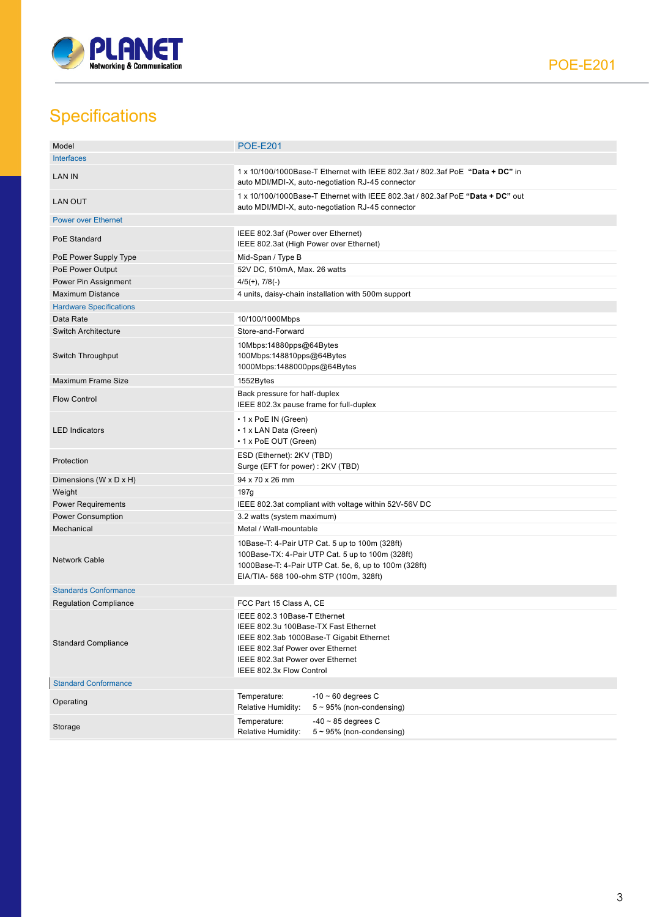

# **Specifications**

| Model                          | <b>POE-E201</b>                                                                                                                                                                                                      |  |
|--------------------------------|----------------------------------------------------------------------------------------------------------------------------------------------------------------------------------------------------------------------|--|
| <b>Interfaces</b>              |                                                                                                                                                                                                                      |  |
| <b>LAN IN</b>                  | 1 x 10/100/1000Base-T Ethernet with IEEE 802.3at / 802.3af PoE "Data + DC" in<br>auto MDI/MDI-X, auto-negotiation RJ-45 connector                                                                                    |  |
| <b>LAN OUT</b>                 | 1 x 10/100/1000Base-T Ethernet with IEEE 802.3at / 802.3af PoE "Data + DC" out<br>auto MDI/MDI-X, auto-negotiation RJ-45 connector                                                                                   |  |
| <b>Power over Ethernet</b>     |                                                                                                                                                                                                                      |  |
| PoE Standard                   | IEEE 802.3af (Power over Ethernet)<br>IEEE 802.3at (High Power over Ethernet)                                                                                                                                        |  |
| PoE Power Supply Type          | Mid-Span / Type B                                                                                                                                                                                                    |  |
| PoE Power Output               | 52V DC, 510mA, Max. 26 watts                                                                                                                                                                                         |  |
| Power Pin Assignment           | $4/5(+)$ , $7/8(-)$                                                                                                                                                                                                  |  |
| <b>Maximum Distance</b>        | 4 units, daisy-chain installation with 500m support                                                                                                                                                                  |  |
| <b>Hardware Specifications</b> |                                                                                                                                                                                                                      |  |
| Data Rate                      | 10/100/1000Mbps                                                                                                                                                                                                      |  |
| <b>Switch Architecture</b>     | Store-and-Forward                                                                                                                                                                                                    |  |
| Switch Throughput              | 10Mbps:14880pps@64Bytes<br>100Mbps:148810pps@64Bytes<br>1000Mbps:1488000pps@64Bytes                                                                                                                                  |  |
| Maximum Frame Size             | 1552Bytes                                                                                                                                                                                                            |  |
| <b>Flow Control</b>            | Back pressure for half-duplex<br>IEEE 802.3x pause frame for full-duplex                                                                                                                                             |  |
| <b>LED Indicators</b>          | • 1 x PoE IN (Green)<br>• 1 x LAN Data (Green)<br>• 1 x PoE OUT (Green)                                                                                                                                              |  |
| Protection                     | ESD (Ethernet): 2KV (TBD)<br>Surge (EFT for power): 2KV (TBD)                                                                                                                                                        |  |
| Dimensions (W x D x H)         | 94 x 70 x 26 mm                                                                                                                                                                                                      |  |
| Weight                         | 197g                                                                                                                                                                                                                 |  |
| <b>Power Requirements</b>      | IEEE 802.3at compliant with voltage within 52V-56V DC                                                                                                                                                                |  |
| Power Consumption              | 3.2 watts (system maximum)                                                                                                                                                                                           |  |
| Mechanical                     | Metal / Wall-mountable                                                                                                                                                                                               |  |
| <b>Network Cable</b>           | 10Base-T: 4-Pair UTP Cat. 5 up to 100m (328ft)<br>100Base-TX: 4-Pair UTP Cat. 5 up to 100m (328ft)<br>1000Base-T: 4-Pair UTP Cat. 5e, 6, up to 100m (328ft)<br>EIA/TIA- 568 100-ohm STP (100m, 328ft)                |  |
| <b>Standards Conformance</b>   |                                                                                                                                                                                                                      |  |
| <b>Regulation Compliance</b>   | FCC Part 15 Class A, CE                                                                                                                                                                                              |  |
| <b>Standard Compliance</b>     | IEEE 802.3 10Base-T Ethernet<br>IEEE 802.3u 100Base-TX Fast Ethernet<br>IEEE 802.3ab 1000Base-T Gigabit Ethernet<br>IEEE 802.3af Power over Ethernet<br>IEEE 802.3at Power over Ethernet<br>IEEE 802.3x Flow Control |  |
| <b>Standard Conformance</b>    |                                                                                                                                                                                                                      |  |
| Operating                      | $-10 \sim 60$ degrees C<br>Temperature:<br>Relative Humidity:<br>$5 \sim 95\%$ (non-condensing)                                                                                                                      |  |
| Storage                        | $-40 \sim 85$ degrees C<br>Temperature:<br>Relative Humidity:<br>$5 \sim 95\%$ (non-condensing)                                                                                                                      |  |